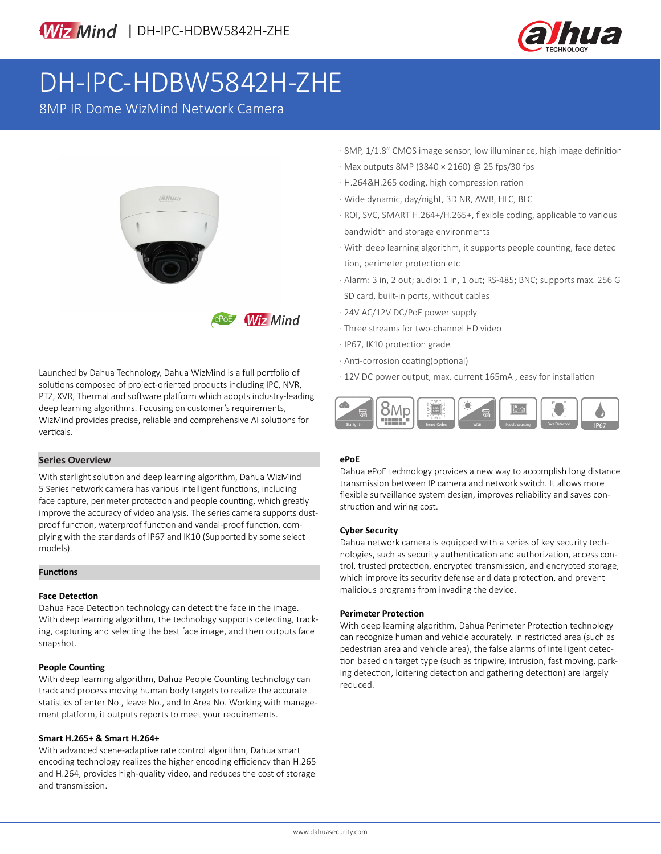

# DH-IPC-HDBW5842H-ZHE

8MP IR Dome WizMind Network Camera





Launched by Dahua Technology, Dahua WizMind is a full portfolio of solutions composed of project-oriented products including IPC, NVR, PTZ, XVR, Thermal and software platform which adopts industry-leading deep learning algorithms. Focusing on customer's requirements, WizMind provides precise, reliable and comprehensive AI solutions for verticals.

#### **Series Overview**

With starlight solution and deep learning algorithm, Dahua WizMind 5 Series network camera has various intelligent functions, including face capture, perimeter protection and people counting, which greatly improve the accuracy of video analysis. The series camera supports dustproof function, waterproof function and vandal-proof function, complying with the standards of IP67 and IK10 (Supported by some select models).

#### **Functions**

#### **Face Detection**

Dahua Face Detection technology can detect the face in the image. With deep learning algorithm, the technology supports detecting, tracking, capturing and selecting the best face image, and then outputs face snapshot.

#### **People Counting**

With deep learning algorithm, Dahua People Counting technology can track and process moving human body targets to realize the accurate statistics of enter No., leave No., and In Area No. Working with management platform, it outputs reports to meet your requirements.

#### **Smart H.265+ & Smart H.264+**

With advanced scene-adaptive rate control algorithm, Dahua smart encoding technology realizes the higher encoding efficiency than H.265 and H.264, provides high-quality video, and reduces the cost of storage and transmission.

- · 8MP, 1/1.8" CMOS image sensor, low illuminance, high image definition
- · Max outputs 8MP (3840 × 2160) @ 25 fps/30 fps
- · H.264&H.265 coding, high compression ration
- · Wide dynamic, day/night, 3D NR, AWB, HLC, BLC
- · ROI, SVC, SMART H.264+/H.265+, flexible coding, applicable to various bandwidth and storage environments
- · With deep learning algorithm, it supports people counting, face detec tion, perimeter protection etc
- · Alarm: 3 in, 2 out; audio: 1 in, 1 out; RS-485; BNC; supports max. 256 G SD card, built-in ports, without cables
- · 24V AC/12V DC/PoE power supply
- · Three streams for two-channel HD video
- · IP67, IK10 protection grade
- · Anti-corrosion coating(optional)
- · 12V DC power output, max. current 165mA , easy for installation



#### **ePoE**

Dahua ePoE technology provides a new way to accomplish long distance transmission between IP camera and network switch. It allows more flexible surveillance system design, improves reliability and saves construction and wiring cost.

#### **Cyber Security**

Dahua network camera is equipped with a series of key security technologies, such as security authentication and authorization, access control, trusted protection, encrypted transmission, and encrypted storage, which improve its security defense and data protection, and prevent malicious programs from invading the device.

#### **Perimeter Protection**

With deep learning algorithm, Dahua Perimeter Protection technology can recognize human and vehicle accurately. In restricted area (such as pedestrian area and vehicle area), the false alarms of intelligent detection based on target type (such as tripwire, intrusion, fast moving, parking detection, loitering detection and gathering detection) are largely reduced.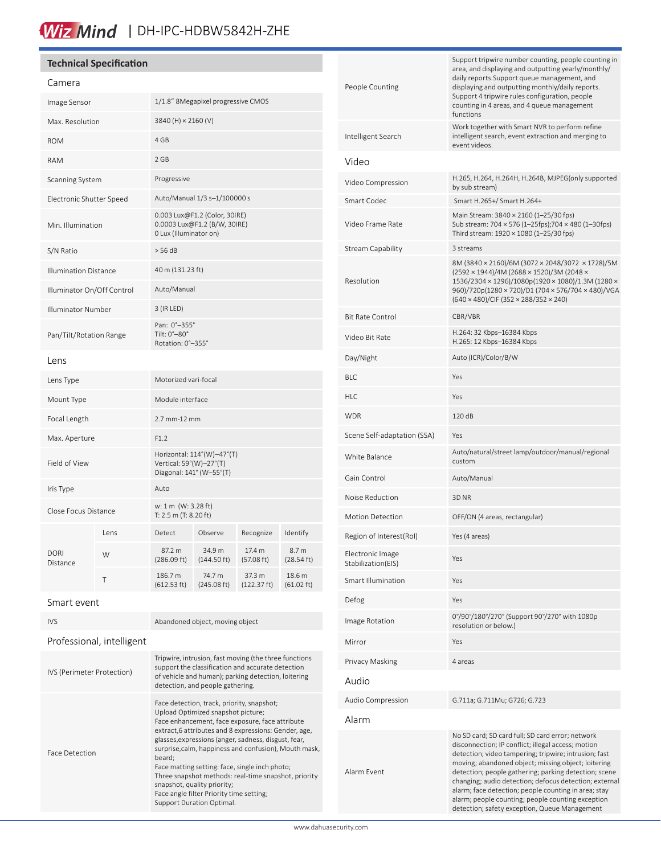## Wiz Mind | DH-IPC-HDBW5842H-ZHE

### **Technical Specification**

### Camera

| Callicia                     |      |                                                                                   |                                                               |                       |                      |  |
|------------------------------|------|-----------------------------------------------------------------------------------|---------------------------------------------------------------|-----------------------|----------------------|--|
| Image Sensor                 |      | 1/1.8" 8Megapixel progressive CMOS                                                |                                                               |                       |                      |  |
| Max. Resolution              |      | 3840 (H) × 2160 (V)                                                               |                                                               |                       |                      |  |
| <b>ROM</b>                   |      | 4 GB                                                                              |                                                               |                       |                      |  |
| RAM                          |      | 2 GB                                                                              |                                                               |                       |                      |  |
| Scanning System              |      | Progressive                                                                       |                                                               |                       |                      |  |
| Electronic Shutter Speed     |      | Auto/Manual 1/3 s-1/100000 s                                                      |                                                               |                       |                      |  |
| Min. Illumination            |      | 0 Lux (Illuminator on)                                                            | 0.003 Lux@F1.2 (Color, 30IRE)<br>0.0003 Lux@F1.2 (B/W, 30IRE) |                       |                      |  |
| S/N Ratio                    |      | $>$ 56 dB                                                                         |                                                               |                       |                      |  |
| <b>Illumination Distance</b> |      | 40 m (131.23 ft)                                                                  |                                                               |                       |                      |  |
| Illuminator On/Off Control   |      | Auto/Manual                                                                       |                                                               |                       |                      |  |
| <b>Illuminator Number</b>    |      | 3 (IR LED)                                                                        |                                                               |                       |                      |  |
| Pan/Tilt/Rotation Range      |      | Pan: 0°-355°<br>Tilt: 0°-80°<br>Rotation: 0°-355°                                 |                                                               |                       |                      |  |
| Lens                         |      |                                                                                   |                                                               |                       |                      |  |
| Lens Type                    |      | Motorized vari-focal                                                              |                                                               |                       |                      |  |
| Mount Type                   |      | Module interface                                                                  |                                                               |                       |                      |  |
| Focal Length                 |      | 2.7 mm-12 mm                                                                      |                                                               |                       |                      |  |
| Max. Aperture                |      | F1.2                                                                              |                                                               |                       |                      |  |
| Field of View                |      | Horizontal: 114°(W)-47°(T)<br>Vertical: 59°(W)-27°(T)<br>Diagonal: 141° (W-55°(T) |                                                               |                       |                      |  |
| Iris Type                    |      | Auto                                                                              |                                                               |                       |                      |  |
| Close Focus Distance         |      | w: 1 m (W: 3.28 ft)<br>T: 2.5 m (T: 8.20 ft)                                      |                                                               |                       |                      |  |
|                              | Lens | Detect                                                                            | Observe                                                       | Recognize             | Identify             |  |
| <b>DORI</b><br>Distance      | W    | 87.2 m<br>(286.09 ft)                                                             | 34.9 m<br>$(144.50 \text{ ft})$                               | 17.4 m<br>(57.08 ft)  | 8.7 m<br>(28.54 ft)  |  |
|                              | T    | 186.7 m<br>(612.53 ft)                                                            | 74.7 m<br>(245.08 ft)                                         | 37.3 m<br>(122.37 ft) | 18.6 m<br>(61.02 ft) |  |
| Smart event                  |      |                                                                                   |                                                               |                       |                      |  |

| <b>IVS</b>                 | Abandoned object, moving object                                                                                                                                                                                                                                                                                                                                                                                                                                                                                                           |  |  |
|----------------------------|-------------------------------------------------------------------------------------------------------------------------------------------------------------------------------------------------------------------------------------------------------------------------------------------------------------------------------------------------------------------------------------------------------------------------------------------------------------------------------------------------------------------------------------------|--|--|
| Professional, intelligent  |                                                                                                                                                                                                                                                                                                                                                                                                                                                                                                                                           |  |  |
| IVS (Perimeter Protection) | Tripwire, intrusion, fast moving (the three functions<br>support the classification and accurate detection<br>of vehicle and human); parking detection, loitering<br>detection, and people gathering.                                                                                                                                                                                                                                                                                                                                     |  |  |
| <b>Face Detection</b>      | Face detection, track, priority, snapshot;<br>Upload Optimized snapshot picture;<br>Face enhancement, face exposure, face attribute<br>extract, 6 attributes and 8 expressions: Gender, age,<br>glasses, expressions (anger, sadness, disgust, fear,<br>surprise, calm, happiness and confusion), Mouth mask,<br>beard:<br>Face matting setting: face, single inch photo;<br>Three snapshot methods: real-time snapshot, priority<br>snapshot, quality priority;<br>Face angle filter Priority time setting;<br>Support Duration Optimal. |  |  |

| People Counting                        | Support tripwire number counting, people counting in<br>area, and displaying and outputting yearly/monthly/<br>daily reports. Support queue management, and<br>displaying and outputting monthly/daily reports.<br>Support 4 tripwire rules configuration, people<br>counting in 4 areas, and 4 queue management<br>functions                                                                                                                          |  |  |  |
|----------------------------------------|--------------------------------------------------------------------------------------------------------------------------------------------------------------------------------------------------------------------------------------------------------------------------------------------------------------------------------------------------------------------------------------------------------------------------------------------------------|--|--|--|
| Intelligent Search                     | Work together with Smart NVR to perform refine<br>intelligent search, event extraction and merging to<br>event videos.                                                                                                                                                                                                                                                                                                                                 |  |  |  |
| Video                                  |                                                                                                                                                                                                                                                                                                                                                                                                                                                        |  |  |  |
| Video Compression                      | H.265, H.264, H.264H, H.264B, MJPEG(only supported<br>by sub stream)                                                                                                                                                                                                                                                                                                                                                                                   |  |  |  |
| Smart Codec                            | Smart H.265+/ Smart H.264+                                                                                                                                                                                                                                                                                                                                                                                                                             |  |  |  |
| Video Frame Rate                       | Main Stream: 3840 × 2160 (1–25/30 fps)<br>Sub stream: 704 × 576 (1-25fps);704 × 480 (1-30fps)<br>Third stream: 1920 × 1080 (1–25/30 fps)                                                                                                                                                                                                                                                                                                               |  |  |  |
| <b>Stream Capability</b>               | 3 streams                                                                                                                                                                                                                                                                                                                                                                                                                                              |  |  |  |
| Resolution                             | 8M (3840 × 2160)/6M (3072 × 2048/3072 × 1728)/5M<br>(2592 × 1944)/4M (2688 × 1520)/3M (2048 ×<br>1536/2304 × 1296)/1080p(1920 × 1080)/1.3M (1280 ×<br>960)/720p(1280 × 720)/D1 (704 × 576/704 × 480)/VGA<br>(640 × 480)/CIF (352 × 288/352 × 240)                                                                                                                                                                                                      |  |  |  |
| <b>Bit Rate Control</b>                | CBR/VBR                                                                                                                                                                                                                                                                                                                                                                                                                                                |  |  |  |
| Video Bit Rate                         | H.264: 32 Kbps-16384 Kbps<br>H.265: 12 Kbps-16384 Kbps                                                                                                                                                                                                                                                                                                                                                                                                 |  |  |  |
| Day/Night                              | Auto (ICR)/Color/B/W                                                                                                                                                                                                                                                                                                                                                                                                                                   |  |  |  |
| BLC                                    | Yes                                                                                                                                                                                                                                                                                                                                                                                                                                                    |  |  |  |
| <b>HLC</b>                             | Yes                                                                                                                                                                                                                                                                                                                                                                                                                                                    |  |  |  |
| <b>WDR</b>                             | 120 dB                                                                                                                                                                                                                                                                                                                                                                                                                                                 |  |  |  |
| Scene Self-adaptation (SSA)            | Yes                                                                                                                                                                                                                                                                                                                                                                                                                                                    |  |  |  |
| White Balance                          | Auto/natural/street lamp/outdoor/manual/regional<br>custom                                                                                                                                                                                                                                                                                                                                                                                             |  |  |  |
| Gain Control                           | Auto/Manual                                                                                                                                                                                                                                                                                                                                                                                                                                            |  |  |  |
| Noise Reduction                        | 3D NR                                                                                                                                                                                                                                                                                                                                                                                                                                                  |  |  |  |
| <b>Motion Detection</b>                | OFF/ON (4 areas, rectangular)                                                                                                                                                                                                                                                                                                                                                                                                                          |  |  |  |
| Region of Interest(RoI)                | Yes (4 areas)                                                                                                                                                                                                                                                                                                                                                                                                                                          |  |  |  |
| Electronic Image<br>Stabilization(EIS) | Yes                                                                                                                                                                                                                                                                                                                                                                                                                                                    |  |  |  |
| Smart Illumination                     | Yes                                                                                                                                                                                                                                                                                                                                                                                                                                                    |  |  |  |
| Defog                                  | Yes                                                                                                                                                                                                                                                                                                                                                                                                                                                    |  |  |  |
| Image Rotation                         | 0°/90°/180°/270° (Support 90°/270° with 1080p<br>resolution or below.)                                                                                                                                                                                                                                                                                                                                                                                 |  |  |  |
| Mirror                                 | Yes                                                                                                                                                                                                                                                                                                                                                                                                                                                    |  |  |  |
| Privacy Masking                        | 4 areas                                                                                                                                                                                                                                                                                                                                                                                                                                                |  |  |  |
| Audio                                  |                                                                                                                                                                                                                                                                                                                                                                                                                                                        |  |  |  |
| Audio Compression                      | G.711a; G.711Mu; G726; G.723                                                                                                                                                                                                                                                                                                                                                                                                                           |  |  |  |
| Alarm                                  |                                                                                                                                                                                                                                                                                                                                                                                                                                                        |  |  |  |
| Alarm Event                            | No SD card; SD card full; SD card error; network<br>disconnection; IP conflict; illegal access; motion<br>detection; video tampering; tripwire; intrusion; fast<br>moving; abandoned object; missing object; loitering<br>detection; people gathering; parking detection; scene<br>changing; audio detection; defocus detection; external<br>alarm; face detection; people counting in area; stay<br>alarm; people counting; people counting exception |  |  |  |

detection; safety exception, Queue Management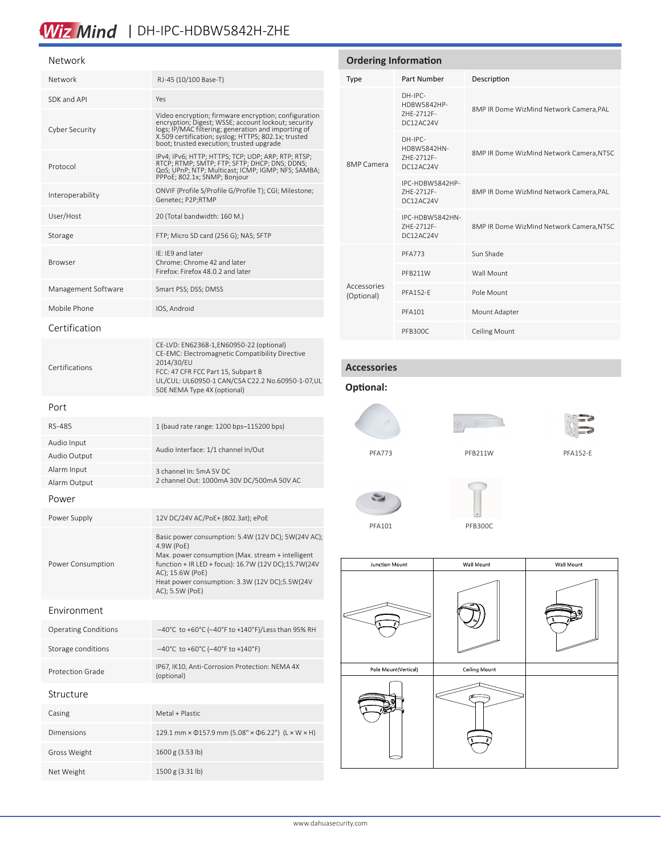## Wiz Mind | DH-IPC-HDBW5842H-ZHE

| Network                     |                                                                                                                                                                                                                                                                         | <b>Ordering Information</b>     |                                            |            |              |
|-----------------------------|-------------------------------------------------------------------------------------------------------------------------------------------------------------------------------------------------------------------------------------------------------------------------|---------------------------------|--------------------------------------------|------------|--------------|
| Network                     | RJ-45 (10/100 Base-T)                                                                                                                                                                                                                                                   | <b>Type</b>                     | Part Number                                |            | Descri       |
| SDK and API                 | Yes                                                                                                                                                                                                                                                                     |                                 | DH-IPC-<br>HDBW5842HP-                     |            | 8MP IR       |
| Cyber Security              | Video encryption; firmware encryption; configuration<br>encryption; Digest; WSSE; account lockout; security<br>logs; IP/MAC filtering; generation and importing of<br>X.509 certification; syslog; HTTPS; 802.1x; trusted<br>boot; trusted execution; trusted upgrade   |                                 | ZHE-2712F-<br>DC12AC24V<br>DH-IPC-         |            |              |
| Protocol                    | IPv4; IPv6; HTTP; HTTPS; TCP; UDP; ARP; RTP; RTSP;<br>RTCP; RTMP; SMTP; FTP; SFTP; DHCP; DNS; DDNS;<br>QoS; UPnP; NTP; Multicast; ICMP; IGMP; NFS; SAMBA;                                                                                                               | 8MP Camera                      | HDBW5842HN-<br>ZHE-2712F-<br>DC12AC24V     |            | 8MP IR       |
| Interoperability            | PPPoE; 802.1x; SNMP; Bonjour<br>ONVIF (Profile S/Profile G/Profile T); CGI; Milestone;<br>Genetec; P2P;RTMP                                                                                                                                                             |                                 | IPC-HDBW5842HP-<br>ZHE-2712F-<br>DC12AC24V |            | 8MP IR       |
| User/Host                   | 20 (Total bandwidth: 160 M.)                                                                                                                                                                                                                                            |                                 | IPC-HDBW5842HN-                            |            |              |
| Storage                     | FTP; Micro SD card (256 G); NAS; SFTP                                                                                                                                                                                                                                   |                                 | ZHE-2712F-<br>DC12AC24V                    |            | 8MP IR       |
| <b>Browser</b>              | IE: IE9 and later<br>Chrome: Chrome 42 and later<br>Firefox: Firefox 48.0.2 and later                                                                                                                                                                                   |                                 | <b>PFA773</b>                              |            | Sun Sh       |
| Management Software         | Smart PSS; DSS; DMSS                                                                                                                                                                                                                                                    | Accessories                     | PFB211W                                    |            | Wall M       |
| Mobile Phone                | IOS, Android                                                                                                                                                                                                                                                            | (Optional)                      | <b>PFA152-E</b>                            |            | Pole M       |
| Certification               |                                                                                                                                                                                                                                                                         |                                 | <b>PFA101</b>                              |            | Mount        |
| Certifications              | CE-LVD: EN62368-1, EN60950-22 (optional)<br>CE-EMC: Electromagnetic Compatibility Directive<br>2014/30/EU<br>FCC: 47 CFR FCC Part 15, Subpart B<br>UL/CUL: UL60950-1 CAN/CSA C22.2 No.60950-1-07,UL<br>50E NEMA Type 4X (optional)                                      | <b>Accessories</b><br>Optional: | PFB300C                                    |            | Ceiling      |
| Port                        |                                                                                                                                                                                                                                                                         |                                 |                                            |            |              |
| RS-485                      | 1 (baud rate range: 1200 bps-115200 bps)                                                                                                                                                                                                                                |                                 |                                            |            |              |
| Audio Input<br>Audio Output | Audio Interface: 1/1 channel In/Out                                                                                                                                                                                                                                     | <b>PFA773</b>                   |                                            |            | PFB211W      |
| Alarm Input<br>Alarm Output | 3 channel In: 5mA 5V DC<br>2 channel Out: 1000mA 30V DC/500mA 50V AC                                                                                                                                                                                                    |                                 |                                            |            |              |
| Power                       |                                                                                                                                                                                                                                                                         |                                 |                                            |            |              |
| Power Supply                | 12V DC/24V AC/PoE+ (802.3at); ePoE                                                                                                                                                                                                                                      | PFA101                          | <b>PFB300C</b>                             |            |              |
| Power Consumption           | Basic power consumption: 5.4W (12V DC); 5W(24V AC);<br>4.9W (PoE)<br>Max. power consumption (Max. stream + intelligent<br>function + IR LED + focus): 16.7W (12V DC);15.7W(24V<br>AC); 15.6W (PoE)<br>Heat power consumption: 3.3W (12V DC);5.5W(24V<br>AC); 5.5W (PoE) | Junction Mount                  |                                            | Wall Mount |              |
| Environment                 |                                                                                                                                                                                                                                                                         |                                 |                                            |            |              |
| <b>Operating Conditions</b> | -40°C to +60°C (-40°F to +140°F)/Less than 95% RH                                                                                                                                                                                                                       |                                 |                                            |            |              |
| Storage conditions          | $-40^{\circ}$ C to +60°C (-40°F to +140°F)                                                                                                                                                                                                                              |                                 |                                            |            |              |
| <b>Protection Grade</b>     | IP67, IK10, Anti-Corrosion Protection: NEMA 4X<br>(optional)                                                                                                                                                                                                            |                                 | Pole Mount(Vertical)                       |            | Ceiling Mour |
|                             |                                                                                                                                                                                                                                                                         |                                 |                                            |            |              |

Structure Casing Metal + Plastic Dimensions 129.1 mm × Φ157.9 mm (5.08" × Φ6.22") (L × W × H) Gross Weight 1600 g (3.53 lb) Net Weight 1500 g (3.31 lb)

# icription P IR Dome WizMind Network Camera,PAL P IR Dome WizMind Network Camera,NTSC P IR Dome WizMind Network Camera, PAL P IR Dome WizMind Network Camera,NTSC Shade Mount Mount unt Adapter ing Mount





1W PFA152-E